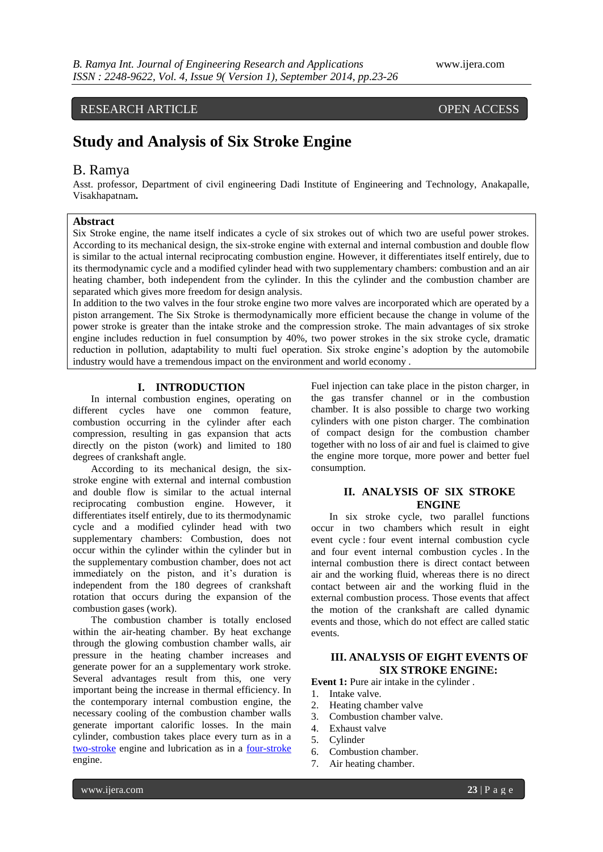# RESEARCH ARTICLE OPEN ACCESS

# **Study and Analysis of Six Stroke Engine**

# B. Ramya

Asst. professor, Department of civil engineering Dadi Institute of Engineering and Technology, Anakapalle, Visakhapatnam**.**

#### **Abstract**

Six Stroke engine, the name itself indicates a cycle of six strokes out of which two are useful power strokes. According to its mechanical design, the six-stroke engine with external and internal combustion and double flow is similar to the actual internal reciprocating combustion engine. However, it differentiates itself entirely, due to its thermodynamic cycle and a modified cylinder head with two supplementary chambers: combustion and an air heating chamber, both independent from the cylinder. In this the cylinder and the combustion chamber are separated which gives more freedom for design analysis.

In addition to the two valves in the four stroke engine two more valves are incorporated which are operated by a piston arrangement. The Six Stroke is thermodynamically more efficient because the change in volume of the power stroke is greater than the intake stroke and the compression stroke. The main advantages of six stroke engine includes reduction in fuel consumption by 40%, two power strokes in the six stroke cycle, dramatic reduction in pollution, adaptability to multi fuel operation. Six stroke engine's adoption by the automobile industry would have a tremendous impact on the environment and world economy .

#### **I. INTRODUCTION**

In internal combustion engines, operating on different cycles have one common feature, combustion occurring in the cylinder after each compression, resulting in gas expansion that acts directly on the piston (work) and limited to 180 degrees of crankshaft angle.

According to its mechanical design, the sixstroke engine with external and internal combustion and double flow is similar to the actual internal reciprocating combustion engine. However, it differentiates itself entirely, due to its thermodynamic cycle and a modified cylinder head with two supplementary chambers: Combustion, does not occur within the cylinder within the cylinder but in the supplementary combustion chamber, does not act immediately on the piston, and it's duration is independent from the 180 degrees of crankshaft rotation that occurs during the expansion of the combustion gases (work).

The combustion chamber is totally enclosed within the air-heating chamber. By heat exchange through the glowing combustion chamber walls, air pressure in the heating chamber increases and generate power for an a supplementary work stroke. Several advantages result from this, one very important being the increase in thermal efficiency. In the contemporary internal combustion engine, the necessary cooling of the combustion chamber walls generate important calorific losses. In the main cylinder, combustion takes place every turn as in a [two-stroke](http://en.wikipedia.org/wiki/Two-stroke) engine and lubrication as in a [four-stroke](http://en.wikipedia.org/wiki/Four-stroke) engine.

Fuel injection can take place in the piston charger, in the gas transfer channel or in the combustion chamber. It is also possible to charge two working cylinders with one piston charger. The combination of compact design for the combustion chamber together with no loss of air and fuel is claimed to give the engine more torque, more power and better fuel consumption.

# **II. ANALYSIS OF SIX STROKE ENGINE**

In six stroke cycle, two parallel functions occur in two chambers which result in eight event cycle : four event internal combustion cycle and four event internal combustion cycles . In the internal combustion there is direct contact between air and the working fluid, whereas there is no direct contact between air and the working fluid in the external combustion process. Those events that affect the motion of the crankshaft are called dynamic events and those, which do not effect are called static events.

## **III. ANALYSIS OF EIGHT EVENTS OF SIX STROKE ENGINE:**

**Event 1:** Pure air intake in the cylinder .

- 1. Intake valve.
- 2. Heating chamber valve
- 3. Combustion chamber valve.
- 4. Exhaust valve
- 5. Cylinder
- 6. Combustion chamber.
- 7. Air heating chamber.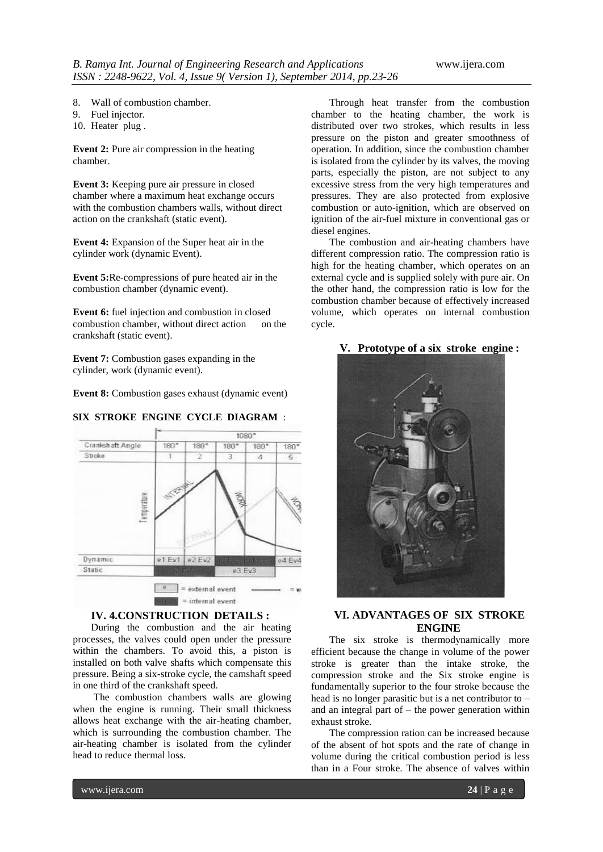- 8. Wall of combustion chamber.
- 9. Fuel injector.
- 10. Heater plug .

**Event 2:** Pure air compression in the heating chamber.

**Event 3:** Keeping pure air pressure in closed chamber where a maximum heat exchange occurs with the combustion chambers walls, without direct action on the crankshaft (static event).

**Event 4:** Expansion of the Super heat air in the cylinder work (dynamic Event).

**Event 5:**Re-compressions of pure heated air in the combustion chamber (dynamic event).

**Event 6:** fuel injection and combustion in closed combustion chamber, without direct action on the crankshaft (static event).

**Event 7:** Combustion gases expanding in the cylinder, work (dynamic event).

**Event 8:** Combustion gases exhaust (dynamic event)



#### **SIX STROKE ENGINE CYCLE DIAGRAM** :

## **IV. 4.CONSTRUCTION DETAILS :**

During the combustion and the air heating processes, the valves could open under the pressure within the chambers. To avoid this, a piston is installed on both valve shafts which compensate this pressure. Being a six-stroke cycle, the camshaft speed in one third of the crankshaft speed.

The combustion chambers walls are glowing when the engine is running. Their small thickness allows heat exchange with the air-heating chamber, which is surrounding the combustion chamber. The air-heating chamber is isolated from the cylinder head to reduce thermal loss*.*

Through heat transfer from the combustion chamber to the heating chamber, the work is distributed over two strokes, which results in less pressure on the piston and greater smoothness of operation. In addition, since the combustion chamber is isolated from the cylinder by its valves, the moving parts, especially the piston, are not subject to any excessive stress from the very high temperatures and pressures. They are also protected from explosive combustion or auto-ignition, which are observed on ignition of the air-fuel mixture in conventional gas or diesel engines.

The combustion and air-heating chambers have different compression ratio. The compression ratio is high for the heating chamber, which operates on an external cycle and is supplied solely with pure air. On the other hand, the compression ratio is low for the combustion chamber because of effectively increased volume, which operates on internal combustion cycle.

#### **V. Prototype of a six stroke engine :**



# **VI. ADVANTAGES OF SIX STROKE ENGINE**

The six stroke is thermodynamically more efficient because the change in volume of the power stroke is greater than the intake stroke, the compression stroke and the Six stroke engine is fundamentally superior to the four stroke because the head is no longer parasitic but is a net contributor to – and an integral part of – the power generation within exhaust stroke.

The compression ration can be increased because of the absent of hot spots and the rate of change in volume during the critical combustion period is less than in a Four stroke. The absence of valves within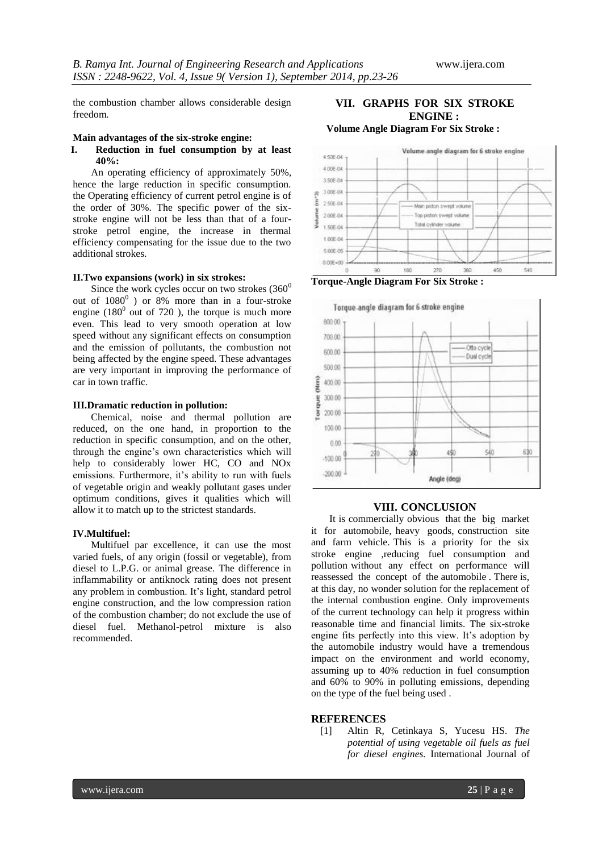the combustion chamber allows considerable design freedom*.*

#### **Main advantages of the six-stroke engine:**

#### **I. Reduction in fuel consumption by at least 40%:**

An operating efficiency of approximately 50%, hence the large reduction in specific consumption. the Operating efficiency of current petrol engine is of the order of 30%. The specific power of the sixstroke engine will not be less than that of a fourstroke petrol engine, the increase in thermal efficiency compensating for the issue due to the two additional strokes.

#### **II.Two expansions (work) in six strokes:**

Since the work cycles occur on two strokes  $(360^0)$ out of  $1080^0$  ) or 8% more than in a four-stroke engine  $(180^0)$  out of 720 ), the torque is much more even. This lead to very smooth operation at low speed without any significant effects on consumption and the emission of pollutants, the combustion not being affected by the engine speed. These advantages are very important in improving the performance of car in town traffic.

#### **III.Dramatic reduction in pollution:**

Chemical, noise and thermal pollution are reduced, on the one hand, in proportion to the reduction in specific consumption, and on the other, through the engine's own characteristics which will help to considerably lower HC, CO and NOx emissions. Furthermore, it's ability to run with fuels of vegetable origin and weakly pollutant gases under optimum conditions, gives it qualities which will allow it to match up to the strictest standards.

#### **IV.Multifuel:**

Multifuel par excellence, it can use the most varied fuels, of any origin (fossil or vegetable), from diesel to L.P.G. or animal grease. The difference in inflammability or antiknock rating does not present any problem in combustion. It's light, standard petrol engine construction, and the low compression ration of the combustion chamber; do not exclude the use of diesel fuel. Methanol-petrol mixture is also recommended.

#### **VII. GRAPHS FOR SIX STROKE ENGINE : Volume Angle Diagram For Six Stroke :**



Top piston swept volu Total cylinder volume

 $270$ 

360

450

540

180 **Torque-Angle Diagram For Six Stroke :**

 $\frac{1}{20}$ 

200E-04

1.50E-04 1.00E-04  $500000$  $0.005 - 00$ 



#### **VIII. CONCLUSION**

It is commercially obvious that the big market it for automobile, heavy goods, construction site and farm vehicle. This is a priority for the six stroke engine ,reducing fuel consumption and pollution without any effect on performance will reassessed the concept of the automobile . There is, at this day, no wonder solution for the replacement of the internal combustion engine. Only improvements of the current technology can help it progress within reasonable time and financial limits. The six-stroke engine fits perfectly into this view. It's adoption by the automobile industry would have a tremendous impact on the environment and world economy, assuming up to 40% reduction in fuel consumption and 60% to 90% in polluting emissions, depending on the type of the fuel being used .

#### **REFERENCES**

[1] Altin R, Cetinkaya S, Yucesu HS. *The potential of using vegetable oil fuels as fuel for diesel engines.* International Journal of